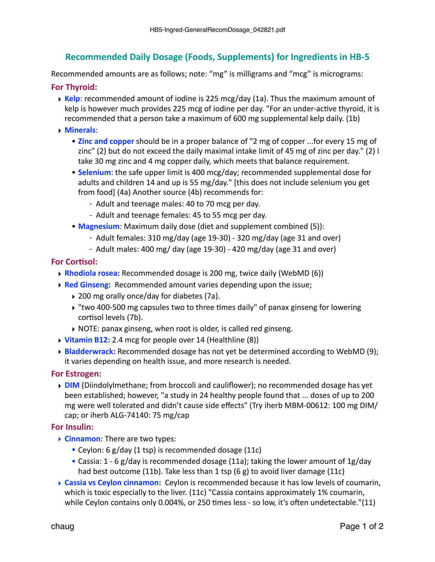# **Recommended Daily Dosage (Foods, Supplements) for Ingredients in HB-5**

Recommended amounts are as follows; note: "mg" is milligrams and "mcg" is micrograms:

## **For Thyroid:**

- $\rightarrow$  Kelp: recommended amount of iodine is 225 mcg/day (1a). Thus the maximum amount of kelp is however much provides 225 mcg of iodine per day. "For an under-active thyroid, it is recommended that a person take a maximum of 600 mg supplemental kelp daily. (1b)
- ‣ **Minerals**:
	- **Zinc and copper** should be in a proper balance of "2 mg of copper ...for every 15 mg of zinc" (2) but do not exceed the daily maximal intake limit of 45 mg of zinc per day." (2) I take 30 mg zinc and 4 mg copper daily, which meets that balance requirement.
	- **Selenium**: the safe upper limit is 400 mcg/day; recommended supplemental dose for adults and children 14 and up is 55 mg/day." [this does not include selenium you get from food] (4a) Another source (4b) recommends for:
		- Adult and teenage males: 40 to 70 mcg per day.
		- Adult and teenage females: 45 to 55 mcg per day.
	- **Magnesium**: Maximum daily dose (diet and supplement combined (5)):
		- Adult females:  $310 \text{ mg/day}$  (age  $19-30$ )  $320 \text{ mg/day}$  (age  $31$  and over)
		- Adult males:  $400$  mg/ day (age 19-30)  $420$  mg/day (age 31 and over)

### **For Cortisol:**

- **▶ Rhodiola rosea:** Recommended dosage is 200 mg, twice daily (WebMD (6))
- **▶ Red Ginseng:** Recommended amount varies depending upon the issue;
	- ▶ 200 mg orally once/day for diabetes (7a).
	- $\rightarrow$  "two 400-500 mg capsules two to three times daily" of panax ginseng for lowering cortisol levels (7b).
	- $\triangleright$  NOTE: panax ginseng, when root is older, is called red ginseng.
- ▶ Vitamin B12: 2.4 mcg for people over 14 (Healthline (8))
- ▶ **Bladderwrack:** Recommended dosage has not yet be determined according to WebMD (9); it varies depending on health issue, and more research is needed.

#### **For Estrogen:**

▶ **DIM** (Diindolylmethane; from broccoli and cauliflower); no recommended dosage has yet been established; however, "a study in 24 healthy people found that ... doses of up to 200 mg were well tolerated and didn't cause side effects" (Try iherb MBM-00612: 100 mg DIM/ cap; or iherb ALG-74140:  $75 \text{ mg/cap}$ 

#### **For Insulin:**

- **► Cinnamon:** There are two types:
	- Ceylon: 6 g/day (1 tsp) is recommended dosage (11c)
	- Cassia: 1 6 g/day is recommended dosage (11a); taking the lower amount of 1g/day had best outcome (11b). Take less than 1 tsp (6 g) to avoid liver damage (11c)
- **Eassia vs Ceylon cinnamon:** Ceylon is recommended because it has low levels of coumarin, which is toxic especially to the liver.  $(11c)$  "Cassia contains approximately 1% coumarin, while Ceylon contains only 0.004%, or 250 times less - so low, it's often undetectable."(11)